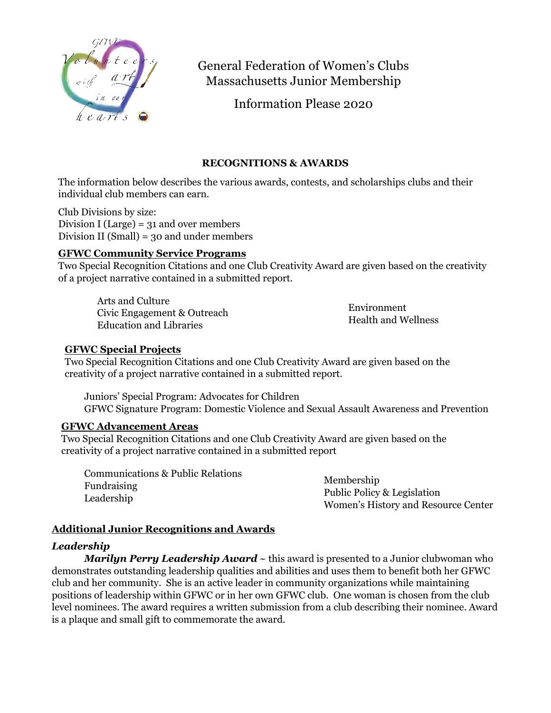

# General Federation of Women's Clubs Massachusetts Junior Membership

Information Please 2020

# **RECOGNITIONS & AWARDS**

The information below describes the various awards, contests, and scholarships clubs and their individual club members can earn.

Club Divisions by size: Division I (Large) =  $31$  and over members Division II (Small) = 30 and under members

# **GFWC Community Service Programs**

Two Special Recognition Citations and one Club Creativity Award are given based on the creativity of a project narrative contained in a submitted report.

Arts and Culture Civic Engagement & Outreach Education and Libraries

Environment Health and Wellness

# **GFWC Special Projects**

Two Special Recognition Citations and one Club Creativity Award are given based on the creativity of a project narrative contained in a submitted report.

Juniors' Special Program: Advocates for Children GFWC Signature Program: Domestic Violence and Sexual Assault Awareness and Prevention

# **GFWC Advancement Areas**

 Two Special Recognition Citations and one Club Creativity Award are given based on the creativity of a project narrative contained in a submitted report

Communications & Public Relations Fundraising Leadership

Membership Public Policy & Legislation Women's History and Resource Center

# **Additional Junior Recognitions and Awards**

## *Leadership*

*Marilyn Perry Leadership Award* ~ this award is presented to a Junior clubwoman who demonstrates outstanding leadership qualities and abilities and uses them to benefit both her GFWC club and her community. She is an active leader in community organizations while maintaining positions of leadership within GFWC or in her own GFWC club. One woman is chosen from the club level nominees. The award requires a written submission from a club describing their nominee. Award is a plaque and small gift to commemorate the award.